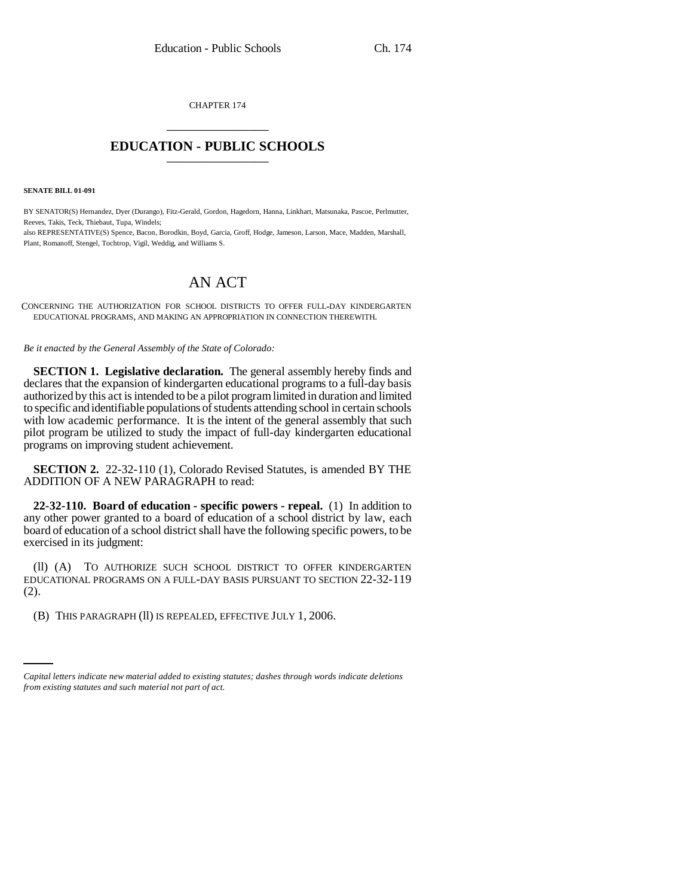CHAPTER 174 \_\_\_\_\_\_\_\_\_\_\_\_\_\_\_

## **EDUCATION - PUBLIC SCHOOLS** \_\_\_\_\_\_\_\_\_\_\_\_\_\_\_

**SENATE BILL 01-091**

BY SENATOR(S) Hernandez, Dyer (Durango), Fitz-Gerald, Gordon, Hagedorn, Hanna, Linkhart, Matsunaka, Pascoe, Perlmutter, Reeves, Takis, Teck, Thiebaut, Tupa, Windels; also REPRESENTATIVE(S) Spence, Bacon, Borodkin, Boyd, Garcia, Groff, Hodge, Jameson, Larson, Mace, Madden, Marshall, Plant, Romanoff, Stengel, Tochtrop, Vigil, Weddig, and Williams S.

## AN ACT

CONCERNING THE AUTHORIZATION FOR SCHOOL DISTRICTS TO OFFER FULL-DAY KINDERGARTEN EDUCATIONAL PROGRAMS, AND MAKING AN APPROPRIATION IN CONNECTION THEREWITH.

*Be it enacted by the General Assembly of the State of Colorado:*

**SECTION 1. Legislative declaration.** The general assembly hereby finds and declares that the expansion of kindergarten educational programs to a full-day basis authorized by this act is intended to be a pilot program limited in duration and limited to specific and identifiable populations of students attending school in certain schools with low academic performance. It is the intent of the general assembly that such pilot program be utilized to study the impact of full-day kindergarten educational programs on improving student achievement.

**SECTION 2.** 22-32-110 (1), Colorado Revised Statutes, is amended BY THE ADDITION OF A NEW PARAGRAPH to read:

**22-32-110. Board of education - specific powers - repeal.** (1) In addition to any other power granted to a board of education of a school district by law, each board of education of a school district shall have the following specific powers, to be exercised in its judgment:

(ll) (A) TO AUTHORIZE SUCH SCHOOL DISTRICT TO OFFER KINDERGARTEN EDUCATIONAL PROGRAMS ON A FULL-DAY BASIS PURSUANT TO SECTION 22-32-119 (2).

an<br>Salah (B) THIS PARAGRAPH (ll) IS REPEALED, EFFECTIVE JULY 1, 2006.

*Capital letters indicate new material added to existing statutes; dashes through words indicate deletions from existing statutes and such material not part of act.*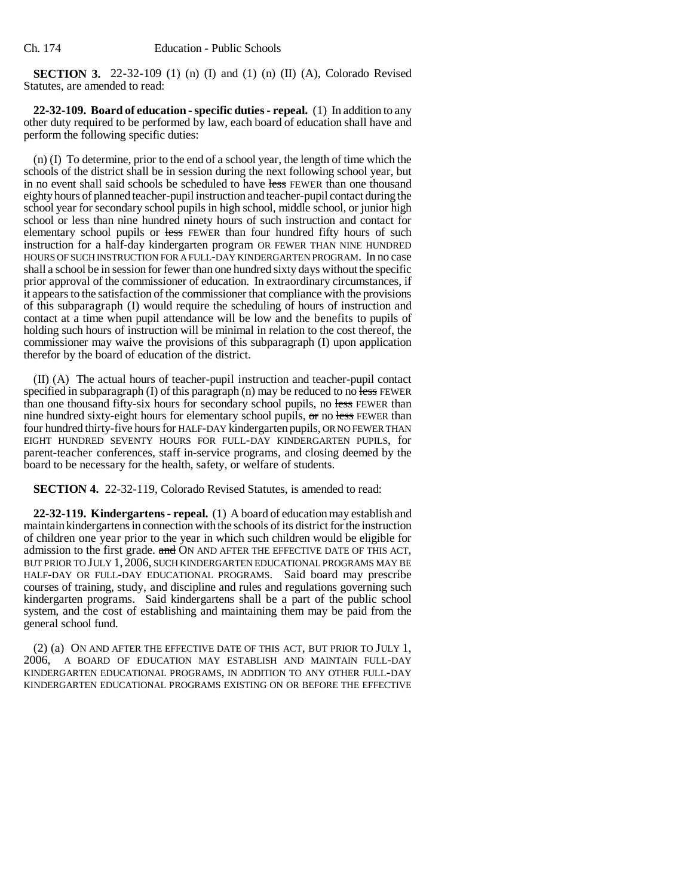**SECTION 3.** 22-32-109 (1) (n) (I) and (1) (n) (II) (A), Colorado Revised Statutes, are amended to read:

**22-32-109. Board of education - specific duties - repeal.** (1) In addition to any other duty required to be performed by law, each board of education shall have and perform the following specific duties:

(n) (I) To determine, prior to the end of a school year, the length of time which the schools of the district shall be in session during the next following school year, but in no event shall said schools be scheduled to have less FEWER than one thousand eighty hours of planned teacher-pupil instruction and teacher-pupil contact during the school year for secondary school pupils in high school, middle school, or junior high school or less than nine hundred ninety hours of such instruction and contact for elementary school pupils or less FEWER than four hundred fifty hours of such instruction for a half-day kindergarten program OR FEWER THAN NINE HUNDRED HOURS OF SUCH INSTRUCTION FOR A FULL-DAY KINDERGARTEN PROGRAM. In no case shall a school be in session for fewer than one hundred sixty days without the specific prior approval of the commissioner of education. In extraordinary circumstances, if it appears to the satisfaction of the commissioner that compliance with the provisions of this subparagraph (I) would require the scheduling of hours of instruction and contact at a time when pupil attendance will be low and the benefits to pupils of holding such hours of instruction will be minimal in relation to the cost thereof, the commissioner may waive the provisions of this subparagraph (I) upon application therefor by the board of education of the district.

(II) (A) The actual hours of teacher-pupil instruction and teacher-pupil contact specified in subparagraph (I) of this paragraph (n) may be reduced to no  $\overline{\text{less}}$  FEWER than one thousand fifty-six hours for secondary school pupils, no less FEWER than nine hundred sixty-eight hours for elementary school pupils,  $\sigma$ r no less FEWER than four hundred thirty-five hours for HALF-DAY kindergarten pupils, OR NO FEWER THAN EIGHT HUNDRED SEVENTY HOURS FOR FULL-DAY KINDERGARTEN PUPILS, for parent-teacher conferences, staff in-service programs, and closing deemed by the board to be necessary for the health, safety, or welfare of students.

**SECTION 4.** 22-32-119, Colorado Revised Statutes, is amended to read:

**22-32-119. Kindergartens - repeal.** (1) A board of education may establish and maintain kindergartens in connection with the schools of its district for the instruction of children one year prior to the year in which such children would be eligible for admission to the first grade. and ON AND AFTER THE EFFECTIVE DATE OF THIS ACT, BUT PRIOR TO JULY 1, 2006, SUCH KINDERGARTEN EDUCATIONAL PROGRAMS MAY BE HALF-DAY OR FULL-DAY EDUCATIONAL PROGRAMS. Said board may prescribe courses of training, study, and discipline and rules and regulations governing such kindergarten programs. Said kindergartens shall be a part of the public school system, and the cost of establishing and maintaining them may be paid from the general school fund.

(2) (a) ON AND AFTER THE EFFECTIVE DATE OF THIS ACT, BUT PRIOR TO JULY 1, 2006, A BOARD OF EDUCATION MAY ESTABLISH AND MAINTAIN FULL-DAY KINDERGARTEN EDUCATIONAL PROGRAMS, IN ADDITION TO ANY OTHER FULL-DAY KINDERGARTEN EDUCATIONAL PROGRAMS EXISTING ON OR BEFORE THE EFFECTIVE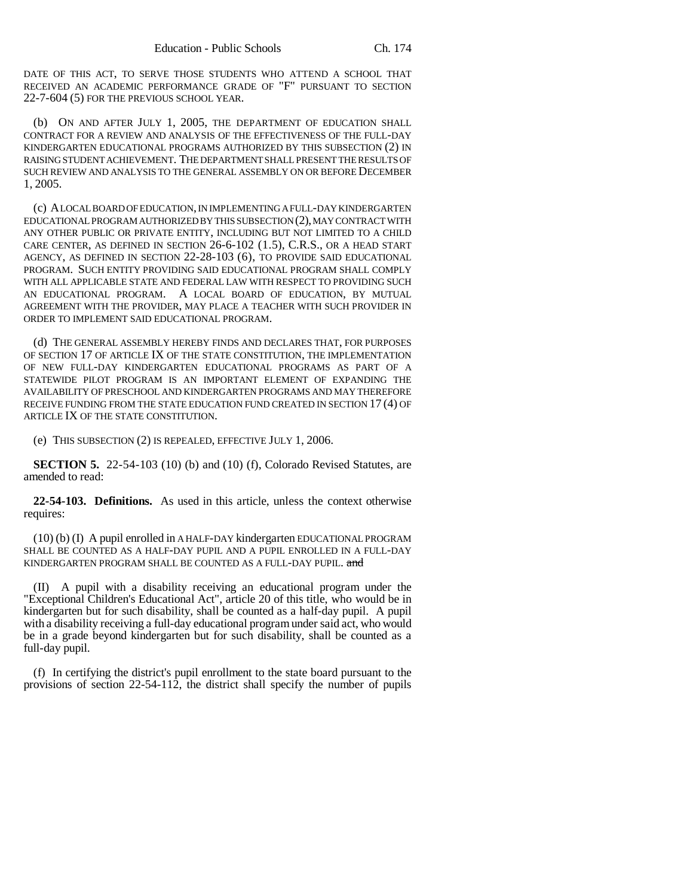DATE OF THIS ACT, TO SERVE THOSE STUDENTS WHO ATTEND A SCHOOL THAT RECEIVED AN ACADEMIC PERFORMANCE GRADE OF "F" PURSUANT TO SECTION 22-7-604 (5) FOR THE PREVIOUS SCHOOL YEAR.

(b) ON AND AFTER JULY 1, 2005, THE DEPARTMENT OF EDUCATION SHALL CONTRACT FOR A REVIEW AND ANALYSIS OF THE EFFECTIVENESS OF THE FULL-DAY KINDERGARTEN EDUCATIONAL PROGRAMS AUTHORIZED BY THIS SUBSECTION (2) IN RAISING STUDENT ACHIEVEMENT. THE DEPARTMENT SHALL PRESENT THE RESULTS OF SUCH REVIEW AND ANALYSIS TO THE GENERAL ASSEMBLY ON OR BEFORE DECEMBER 1, 2005.

(c) A LOCAL BOARD OF EDUCATION, IN IMPLEMENTING A FULL-DAY KINDERGARTEN EDUCATIONAL PROGRAM AUTHORIZED BY THIS SUBSECTION (2), MAY CONTRACT WITH ANY OTHER PUBLIC OR PRIVATE ENTITY, INCLUDING BUT NOT LIMITED TO A CHILD CARE CENTER, AS DEFINED IN SECTION 26-6-102 (1.5), C.R.S., OR A HEAD START AGENCY, AS DEFINED IN SECTION 22-28-103 (6), TO PROVIDE SAID EDUCATIONAL PROGRAM. SUCH ENTITY PROVIDING SAID EDUCATIONAL PROGRAM SHALL COMPLY WITH ALL APPLICABLE STATE AND FEDERAL LAW WITH RESPECT TO PROVIDING SUCH AN EDUCATIONAL PROGRAM. A LOCAL BOARD OF EDUCATION, BY MUTUAL AGREEMENT WITH THE PROVIDER, MAY PLACE A TEACHER WITH SUCH PROVIDER IN ORDER TO IMPLEMENT SAID EDUCATIONAL PROGRAM.

(d) THE GENERAL ASSEMBLY HEREBY FINDS AND DECLARES THAT, FOR PURPOSES OF SECTION 17 OF ARTICLE IX OF THE STATE CONSTITUTION, THE IMPLEMENTATION OF NEW FULL-DAY KINDERGARTEN EDUCATIONAL PROGRAMS AS PART OF A STATEWIDE PILOT PROGRAM IS AN IMPORTANT ELEMENT OF EXPANDING THE AVAILABILITY OF PRESCHOOL AND KINDERGARTEN PROGRAMS AND MAY THEREFORE RECEIVE FUNDING FROM THE STATE EDUCATION FUND CREATED IN SECTION 17 (4) OF ARTICLE IX OF THE STATE CONSTITUTION.

(e) THIS SUBSECTION (2) IS REPEALED, EFFECTIVE JULY 1, 2006.

**SECTION 5.** 22-54-103 (10) (b) and (10) (f), Colorado Revised Statutes, are amended to read:

**22-54-103. Definitions.** As used in this article, unless the context otherwise requires:

(10) (b) (I) A pupil enrolled in A HALF-DAY kindergarten EDUCATIONAL PROGRAM SHALL BE COUNTED AS A HALF-DAY PUPIL AND A PUPIL ENROLLED IN A FULL-DAY KINDERGARTEN PROGRAM SHALL BE COUNTED AS A FULL-DAY PUPIL. and

(II) A pupil with a disability receiving an educational program under the "Exceptional Children's Educational Act", article 20 of this title, who would be in kindergarten but for such disability, shall be counted as a half-day pupil. A pupil with a disability receiving a full-day educational program under said act, who would be in a grade beyond kindergarten but for such disability, shall be counted as a full-day pupil.

(f) In certifying the district's pupil enrollment to the state board pursuant to the provisions of section 22-54-112, the district shall specify the number of pupils